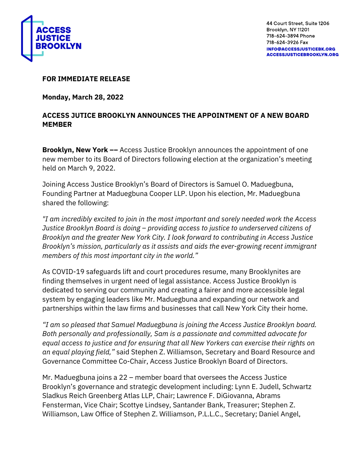

44 Court Street, Suite 1206 Brooklyn, NY 11201 718-624-3894 Phone 718-624-3926 Fax **INFO@ACCESSJUSTICEBK.ORG ACCESSJUSTICEBROOKLYN.ORG** 

## **FOR IMMEDIATE RELEASE**

**Monday, March 28, 2022** 

## **ACCESS JUTICE BROOKLYN ANNOUNCES THE APPOINTMENT OF A NEW BOARD MEMBER**

**Brooklyn, New York --** Access Justice Brooklyn announces the appointment of one new member to its Board of Directors following election at the organization's meeting held on March 9, 2022.

Joining Access Justice Brooklyn's Board of Directors is Samuel O. Maduegbuna, Founding Partner at Maduegbuna Cooper LLP. Upon his election, Mr. Maduegbuna shared the following:

*"I am incredibly excited to join in the most important and sorely needed work the Access Justice Brooklyn Board is doing – providing access to justice to underserved citizens of Brooklyn and the greater New York City. I look forward to contributing in Access Justice Brooklyn's mission, particularly as it assists and aids the ever-growing recent immigrant members of this most important city in the world."* 

As COVID-19 safeguards lift and court procedures resume, many Brooklynites are finding themselves in urgent need of legal assistance. Access Justice Brooklyn is dedicated to serving our community and creating a fairer and more accessible legal system by engaging leaders like Mr. Maduegbuna and expanding our network and partnerships within the law firms and businesses that call New York City their home.

*"I am so pleased that Samuel Maduegbuna is joining the Access Justice Brooklyn board. Both personally and professionally, Sam is a passionate and committed advocate for equal access to justice and for ensuring that all New Yorkers can exercise their rights on an equal playing field,"* said Stephen Z. Williamson, Secretary and Board Resource and Governance Committee Co-Chair, Access Justice Brooklyn Board of Directors.

Mr. Maduegbuna joins a 22 – member board that oversees the Access Justice Brooklyn's governance and strategic development including: Lynn E. Judell, Schwartz Sladkus Reich Greenberg Atlas LLP, Chair; Lawrence F. DiGiovanna, Abrams Fensterman, Vice Chair; Scottye Lindsey, Santander Bank, Treasurer; Stephen Z. Williamson, Law Office of Stephen Z. Williamson, P.L.L.C., Secretary; Daniel Angel,